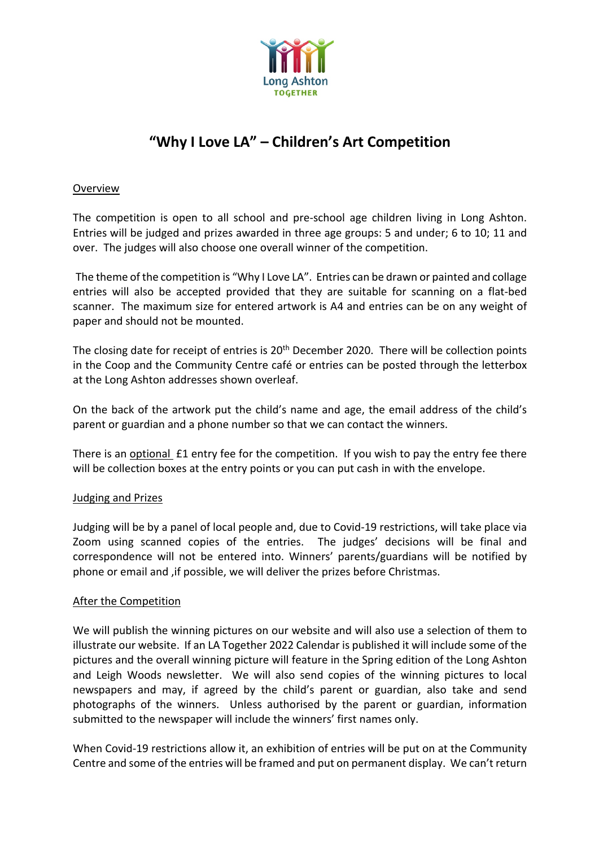

# **"Why I Love LA" – Children's Art Competition**

## Overview

The competition is open to all school and pre-school age children living in Long Ashton. Entries will be judged and prizes awarded in three age groups: 5 and under; 6 to 10; 11 and over. The judges will also choose one overall winner of the competition.

The theme of the competition is "Why I Love LA". Entries can be drawn or painted and collage entries will also be accepted provided that they are suitable for scanning on a flat-bed scanner. The maximum size for entered artwork is A4 and entries can be on any weight of paper and should not be mounted.

The closing date for receipt of entries is 20<sup>th</sup> December 2020. There will be collection points in the Coop and the Community Centre café or entries can be posted through the letterbox at the Long Ashton addresses shown overleaf.

On the back of the artwork put the child's name and age, the email address of the child's parent or guardian and a phone number so that we can contact the winners.

There is an optional £1 entry fee for the competition. If you wish to pay the entry fee there will be collection boxes at the entry points or you can put cash in with the envelope.

### Judging and Prizes

Judging will be by a panel of local people and, due to Covid-19 restrictions, will take place via Zoom using scanned copies of the entries. The judges' decisions will be final and correspondence will not be entered into. Winners' parents/guardians will be notified by phone or email and ,if possible, we will deliver the prizes before Christmas.

### After the Competition

We will publish the winning pictures on our website and will also use a selection of them to illustrate our website. If an LA Together 2022 Calendar is published it will include some of the pictures and the overall winning picture will feature in the Spring edition of the Long Ashton and Leigh Woods newsletter. We will also send copies of the winning pictures to local newspapers and may, if agreed by the child's parent or guardian, also take and send photographs of the winners. Unless authorised by the parent or guardian, information submitted to the newspaper will include the winners' first names only.

When Covid-19 restrictions allow it, an exhibition of entries will be put on at the Community Centre and some of the entries will be framed and put on permanent display. We can't return